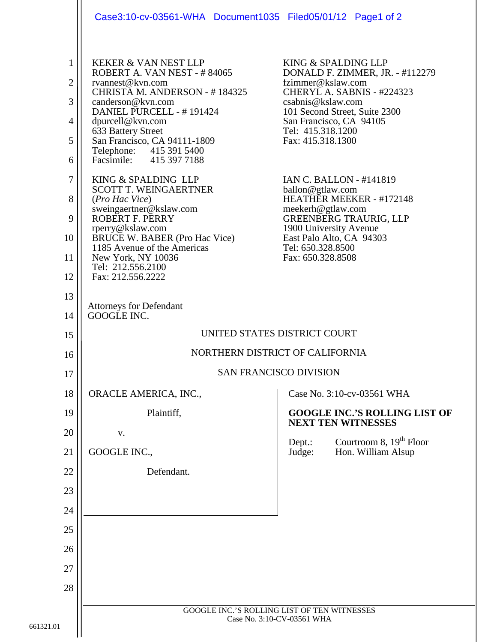|                                                                                                  | Case3:10-cv-03561-WHA Document1035 Filed05/01/12 Page1 of 2                                                                                                                                                                                                                                                                                                                                                                                                                                                                                                                                   |                                                                                                                                                                                                                                                                             |                                                                                                                                                                                               |
|--------------------------------------------------------------------------------------------------|-----------------------------------------------------------------------------------------------------------------------------------------------------------------------------------------------------------------------------------------------------------------------------------------------------------------------------------------------------------------------------------------------------------------------------------------------------------------------------------------------------------------------------------------------------------------------------------------------|-----------------------------------------------------------------------------------------------------------------------------------------------------------------------------------------------------------------------------------------------------------------------------|-----------------------------------------------------------------------------------------------------------------------------------------------------------------------------------------------|
| $\mathbf{1}$<br>$\overline{2}$<br>3<br>4<br>5<br>6<br>$\overline{7}$<br>8<br>9<br>10<br>11<br>12 | <b>KEKER &amp; VAN NEST LLP</b><br>ROBERT A. VAN NEST - #84065<br>rvannest@kvn.com<br>CHRISTA M. ANDERSON - #184325<br>canderson@kvn.com<br>DANIEL PURCELL - #191424<br>dpurcell@kvn.com<br>633 Battery Street<br>San Francisco, CA 94111-1809<br>Telephone: 415 391 5400<br>Facsimile: 415 397 7188<br>KING & SPALDING LLP<br><b>SCOTT T. WEINGAERTNER</b><br>(Pro Hac Vice)<br>sweingaertner@kslaw.com<br><b>ROBERT F. PERRY</b><br>rperry@kslaw.com<br><b>BRUCE W. BABER (Pro Hac Vice)</b><br>1185 Avenue of the Americas<br>New York, NY 10036<br>Tel: 212.556.2100<br>Fax: 212.556.2222 | KING & SPALDING LLP<br>fzimmer@kslaw.com<br>csabnis@kslaw.com<br>San Francisco, CA 94105<br>Tel: 415.318.1200<br>Fax: 415.318.1300<br>ballon@gtlaw.com<br>meekerh@gtlaw.com<br>1900 University Avenue<br>East Palo Alto, CA 94303<br>Tel: 650.328.8500<br>Fax: 650.328.8508 | DONALD F. ZIMMER, JR. - #112279<br>CHERYL A. SABNIS - #224323<br>101 Second Street, Suite 2300<br><b>IAN C. BALLON - #141819</b><br>HEATHER MEEKER - #172148<br><b>GREENBERG TRAURIG, LLP</b> |
| 13<br>14                                                                                         | <b>Attorneys for Defendant</b><br>GOOGLE INC.                                                                                                                                                                                                                                                                                                                                                                                                                                                                                                                                                 |                                                                                                                                                                                                                                                                             |                                                                                                                                                                                               |
| 15                                                                                               | UNITED STATES DISTRICT COURT                                                                                                                                                                                                                                                                                                                                                                                                                                                                                                                                                                  |                                                                                                                                                                                                                                                                             |                                                                                                                                                                                               |
| 16                                                                                               | NORTHERN DISTRICT OF CALIFORNIA                                                                                                                                                                                                                                                                                                                                                                                                                                                                                                                                                               |                                                                                                                                                                                                                                                                             |                                                                                                                                                                                               |
| 17                                                                                               | <b>SAN FRANCISCO DIVISION</b>                                                                                                                                                                                                                                                                                                                                                                                                                                                                                                                                                                 |                                                                                                                                                                                                                                                                             |                                                                                                                                                                                               |
| 18                                                                                               | ORACLE AMERICA, INC.,                                                                                                                                                                                                                                                                                                                                                                                                                                                                                                                                                                         |                                                                                                                                                                                                                                                                             | Case No. 3:10-cv-03561 WHA                                                                                                                                                                    |
| 19                                                                                               | Plaintiff,                                                                                                                                                                                                                                                                                                                                                                                                                                                                                                                                                                                    |                                                                                                                                                                                                                                                                             | <b>GOOGLE INC.'S ROLLING LIST OF</b><br><b>NEXT TEN WITNESSES</b>                                                                                                                             |
| 20                                                                                               | V.                                                                                                                                                                                                                                                                                                                                                                                                                                                                                                                                                                                            | Dept.:                                                                                                                                                                                                                                                                      | Courtroom 8, $19th$ Floor                                                                                                                                                                     |
| 21                                                                                               | GOOGLE INC.,                                                                                                                                                                                                                                                                                                                                                                                                                                                                                                                                                                                  | Judge:                                                                                                                                                                                                                                                                      | Hon. William Alsup                                                                                                                                                                            |
| 22                                                                                               | Defendant.                                                                                                                                                                                                                                                                                                                                                                                                                                                                                                                                                                                    |                                                                                                                                                                                                                                                                             |                                                                                                                                                                                               |
| 23                                                                                               |                                                                                                                                                                                                                                                                                                                                                                                                                                                                                                                                                                                               |                                                                                                                                                                                                                                                                             |                                                                                                                                                                                               |
| 24                                                                                               |                                                                                                                                                                                                                                                                                                                                                                                                                                                                                                                                                                                               |                                                                                                                                                                                                                                                                             |                                                                                                                                                                                               |
| 25                                                                                               |                                                                                                                                                                                                                                                                                                                                                                                                                                                                                                                                                                                               |                                                                                                                                                                                                                                                                             |                                                                                                                                                                                               |
| 26                                                                                               |                                                                                                                                                                                                                                                                                                                                                                                                                                                                                                                                                                                               |                                                                                                                                                                                                                                                                             |                                                                                                                                                                                               |
| 27                                                                                               |                                                                                                                                                                                                                                                                                                                                                                                                                                                                                                                                                                                               |                                                                                                                                                                                                                                                                             |                                                                                                                                                                                               |
| 28                                                                                               |                                                                                                                                                                                                                                                                                                                                                                                                                                                                                                                                                                                               |                                                                                                                                                                                                                                                                             |                                                                                                                                                                                               |
|                                                                                                  | GOOGLE INC.'S ROLLING LIST OF TEN WITNESSES<br>Case No. 3:10-CV-03561 WHA                                                                                                                                                                                                                                                                                                                                                                                                                                                                                                                     |                                                                                                                                                                                                                                                                             |                                                                                                                                                                                               |
|                                                                                                  |                                                                                                                                                                                                                                                                                                                                                                                                                                                                                                                                                                                               |                                                                                                                                                                                                                                                                             |                                                                                                                                                                                               |